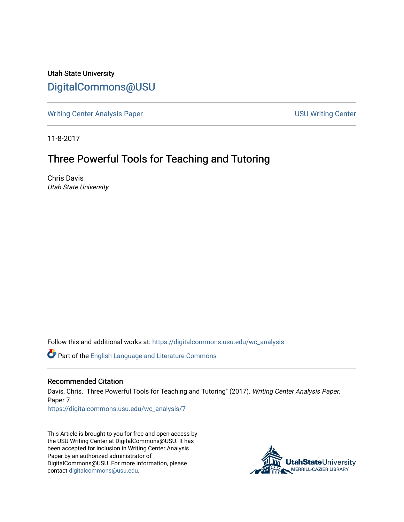Utah State University [DigitalCommons@USU](https://digitalcommons.usu.edu/)

[Writing Center Analysis Paper](https://digitalcommons.usu.edu/wc_analysis) National Communication of the USU Writing Center

11-8-2017

## Three Powerful Tools for Teaching and Tutoring

Chris Davis Utah State University

Follow this and additional works at: [https://digitalcommons.usu.edu/wc\\_analysis](https://digitalcommons.usu.edu/wc_analysis?utm_source=digitalcommons.usu.edu%2Fwc_analysis%2F7&utm_medium=PDF&utm_campaign=PDFCoverPages) 

Part of the [English Language and Literature Commons](http://network.bepress.com/hgg/discipline/455?utm_source=digitalcommons.usu.edu%2Fwc_analysis%2F7&utm_medium=PDF&utm_campaign=PDFCoverPages)

## Recommended Citation

Davis, Chris, "Three Powerful Tools for Teaching and Tutoring" (2017). Writing Center Analysis Paper. Paper 7.

[https://digitalcommons.usu.edu/wc\\_analysis/7](https://digitalcommons.usu.edu/wc_analysis/7?utm_source=digitalcommons.usu.edu%2Fwc_analysis%2F7&utm_medium=PDF&utm_campaign=PDFCoverPages) 

This Article is brought to you for free and open access by the USU Writing Center at DigitalCommons@USU. It has been accepted for inclusion in Writing Center Analysis Paper by an authorized administrator of DigitalCommons@USU. For more information, please contact [digitalcommons@usu.edu](mailto:digitalcommons@usu.edu).

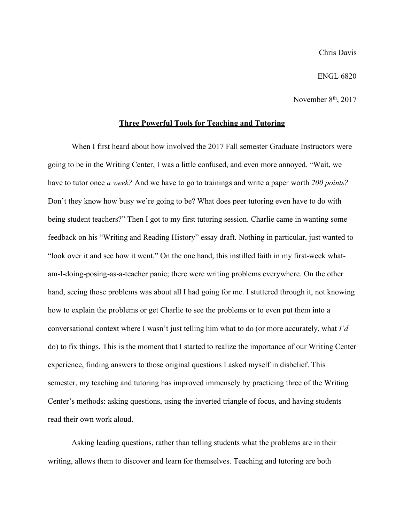## ENGL 6820

November 8<sup>th</sup>, 2017

## **Three Powerful Tools for Teaching and Tutoring**

When I first heard about how involved the 2017 Fall semester Graduate Instructors were going to be in the Writing Center, I was a little confused, and even more annoyed. "Wait, we have to tutor once *a week?* And we have to go to trainings and write a paper worth *200 points?*  Don't they know how busy we're going to be? What does peer tutoring even have to do with being student teachers?" Then I got to my first tutoring session. Charlie came in wanting some feedback on his "Writing and Reading History" essay draft. Nothing in particular, just wanted to "look over it and see how it went." On the one hand, this instilled faith in my first-week whatam-I-doing-posing-as-a-teacher panic; there were writing problems everywhere. On the other hand, seeing those problems was about all I had going for me. I stuttered through it, not knowing how to explain the problems or get Charlie to see the problems or to even put them into a conversational context where I wasn't just telling him what to do (or more accurately, what *I'd*  do) to fix things. This is the moment that I started to realize the importance of our Writing Center experience, finding answers to those original questions I asked myself in disbelief. This semester, my teaching and tutoring has improved immensely by practicing three of the Writing Center's methods: asking questions, using the inverted triangle of focus, and having students read their own work aloud.

Asking leading questions, rather than telling students what the problems are in their writing, allows them to discover and learn for themselves. Teaching and tutoring are both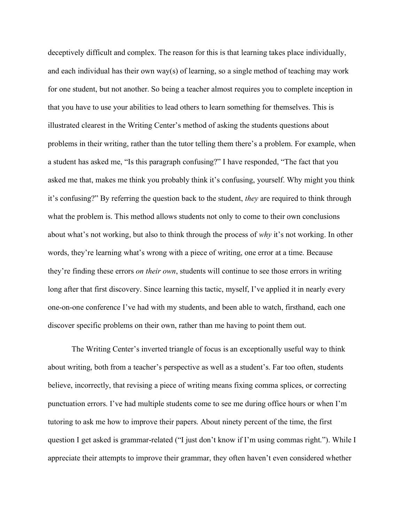deceptively difficult and complex. The reason for this is that learning takes place individually, and each individual has their own way(s) of learning, so a single method of teaching may work for one student, but not another. So being a teacher almost requires you to complete inception in that you have to use your abilities to lead others to learn something for themselves. This is illustrated clearest in the Writing Center's method of asking the students questions about problems in their writing, rather than the tutor telling them there's a problem. For example, when a student has asked me, "Is this paragraph confusing?" I have responded, "The fact that you asked me that, makes me think you probably think it's confusing, yourself. Why might you think it's confusing?" By referring the question back to the student, *they* are required to think through what the problem is. This method allows students not only to come to their own conclusions about what's not working, but also to think through the process of *why* it's not working. In other words, they're learning what's wrong with a piece of writing, one error at a time. Because they're finding these errors *on their own*, students will continue to see those errors in writing long after that first discovery. Since learning this tactic, myself, I've applied it in nearly every one-on-one conference I've had with my students, and been able to watch, firsthand, each one discover specific problems on their own, rather than me having to point them out.

The Writing Center's inverted triangle of focus is an exceptionally useful way to think about writing, both from a teacher's perspective as well as a student's. Far too often, students believe, incorrectly, that revising a piece of writing means fixing comma splices, or correcting punctuation errors. I've had multiple students come to see me during office hours or when I'm tutoring to ask me how to improve their papers. About ninety percent of the time, the first question I get asked is grammar-related ("I just don't know if I'm using commas right."). While I appreciate their attempts to improve their grammar, they often haven't even considered whether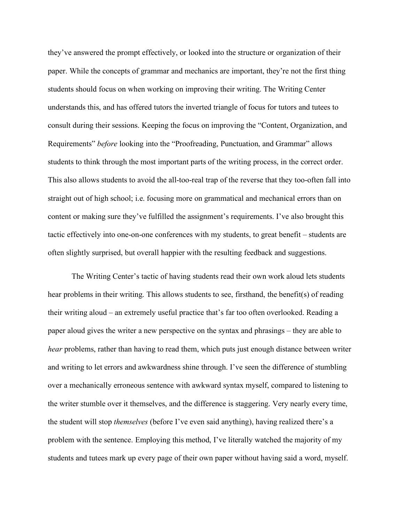they've answered the prompt effectively, or looked into the structure or organization of their paper. While the concepts of grammar and mechanics are important, they're not the first thing students should focus on when working on improving their writing. The Writing Center understands this, and has offered tutors the inverted triangle of focus for tutors and tutees to consult during their sessions. Keeping the focus on improving the "Content, Organization, and Requirements" *before* looking into the "Proofreading, Punctuation, and Grammar" allows students to think through the most important parts of the writing process, in the correct order. This also allows students to avoid the all-too-real trap of the reverse that they too-often fall into straight out of high school; i.e. focusing more on grammatical and mechanical errors than on content or making sure they've fulfilled the assignment's requirements. I've also brought this tactic effectively into one-on-one conferences with my students, to great benefit – students are often slightly surprised, but overall happier with the resulting feedback and suggestions.

The Writing Center's tactic of having students read their own work aloud lets students hear problems in their writing. This allows students to see, firsthand, the benefit(s) of reading their writing aloud – an extremely useful practice that's far too often overlooked. Reading a paper aloud gives the writer a new perspective on the syntax and phrasings – they are able to *hear* problems, rather than having to read them, which puts just enough distance between writer and writing to let errors and awkwardness shine through. I've seen the difference of stumbling over a mechanically erroneous sentence with awkward syntax myself, compared to listening to the writer stumble over it themselves, and the difference is staggering. Very nearly every time, the student will stop *themselves* (before I've even said anything), having realized there's a problem with the sentence. Employing this method, I've literally watched the majority of my students and tutees mark up every page of their own paper without having said a word, myself.